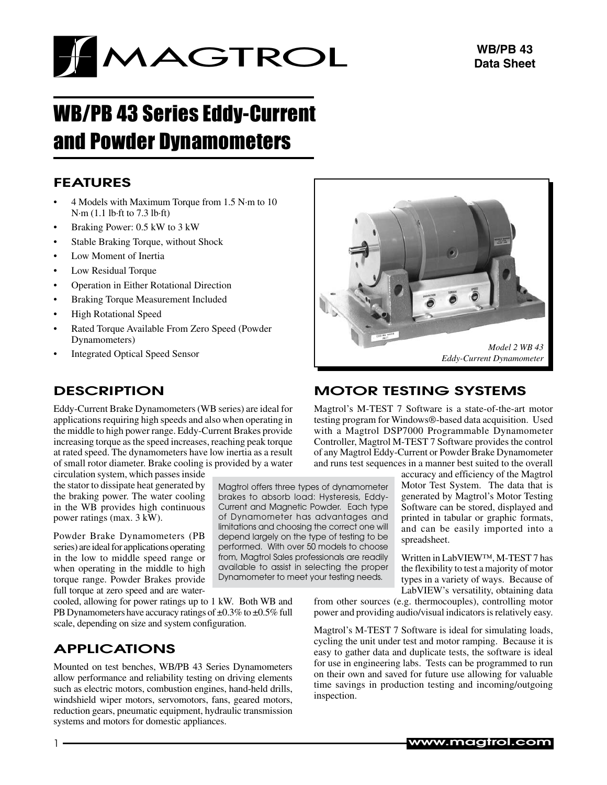

# WB/PB 43 Series Eddy-Current and Powder Dynamometers

### **FEATURES**

- 4 Models with Maximum Torque from 1.5 N·m to 10 N·m (1.1 lb·ft to 7.3 lb·ft)
- Braking Power: 0.5 kW to 3 kW
- Stable Braking Torque, without Shock
- Low Moment of Inertia
- Low Residual Torque
- Operation in Either Rotational Direction
- Braking Torque Measurement Included
- **High Rotational Speed**
- Rated Torque Available From Zero Speed (Powder Dynamometers)
- **Integrated Optical Speed Sensor**

## **DESCRIPTION**

Eddy-Current Brake Dynamometers(WB series) are ideal for applications requiring high speeds and also when operating in the middle to high power range. Eddy-Current Brakes provide increasing torque asthe speed increases, reaching peak torque at rated speed. The dynamometers have low inertia as a result of small rotor diameter. Brake cooling is provided by a water

circulation system, which passesinside the stator to dissipate heat generated by the braking power. The water cooling in the WB provides high continuous power ratings (max. 3 kW).

Powder Brake Dynamometers (PB series) are ideal for applications operating in the low to middle speed range or when operating in the middle to high torque range. Powder Brakes provide full torque at zero speed and are water-

cooled, allowing for power ratings up to 1 kW. Both WB and PB Dynamometers have accuracy ratings of  $\pm 0.3\%$  to  $\pm 0.5\%$  full scale, depending on size and system configuration.

## **APPLICATIONS**

Mounted on test benches, WB/PB 43 Series Dynamometers allow performance and reliability testing on driving elements such as electric motors, combustion engines, hand-held drills, windshield wiper motors, servomotors, fans, geared motors, reduction gears, pneumatic equipment, hydraulic transmission systems and motors for domestic appliances.

*Model 2 WB 43 Eddy-Current Dynamometer*

## Motor Testing SYSTEMS

Magtrol offers three types of dynamometer brakes to absorb load: Hysteresis, Eddy-Current and Magnetic Powder. Each type of Dynamometer has advantages and limitations and choosing the correct one will depend largely on the type of testing to be performed. With over 50 models to choose from, Magtrol Sales professionals are readily available to assist in selecting the proper Dynamometer to meet your testing needs.

Magtrol's M-TEST 7 Software is a state-of-the-art motor testing program for Windows®-based data acquisition. Used with a Magtrol DSP7000 Programmable Dynamometer Controller, Magtrol M-TEST 7 Software provides the control of any Magtrol Eddy-Current or Powder Brake Dynamometer and runs test sequences in a manner best suited to the overall

> accuracy and efficiency of the Magtrol Motor Test System. The data that is generated by Magtrol's Motor Testing Software can be stored, displayed and printed in tabular or graphic formats, and can be easily imported into a spreadsheet.

> Written in LabVIEW™, M-TEST 7 has the flexibility to test a majority of motor types in a variety of ways. Because of LabVIEW's versatility, obtaining data

from other sources (e.g. thermocouples), controlling motor power and providing audio/visual indicators is relatively easy.

Magtrol's M-TEST 7 Software is ideal for simulating loads, cycling the unit under test and motor ramping. Because it is easy to gather data and duplicate tests, the software is ideal for use in engineering labs. Tests can be programmed to run on their own and saved for future use allowing for valuable time savings in production testing and incoming/outgoing inspection.

www.magtrol.com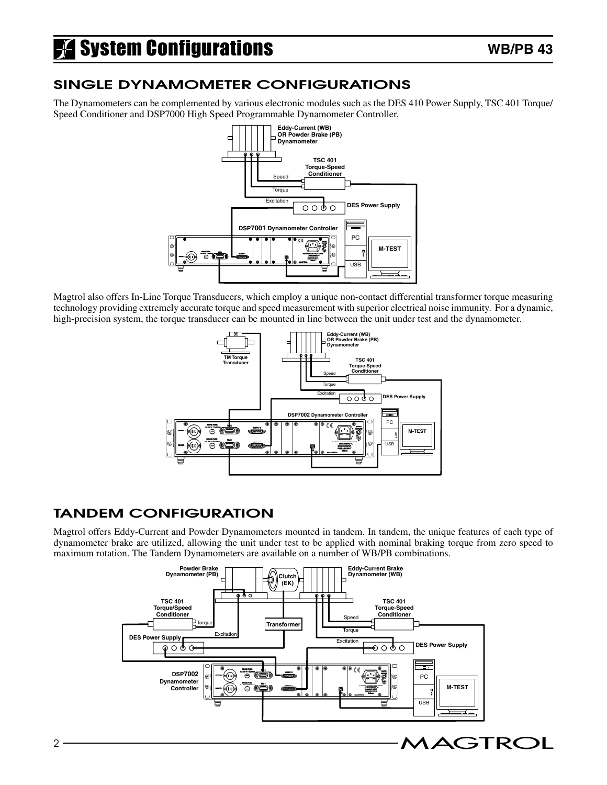# **A** System Configurations

## Single Dynamometer Configurations

The Dynamometers can be complemented by various electronic modules such as the DES 410 Power Supply, TSC 401 Torque/ Speed Conditioner and DSP7000 High Speed Programmable Dynamometer Controller.



Magtrol also offers In-Line Torque Transducers, which employ a unique non-contact differential transformer torque measuring technology providing extremely accurate torque and speed measurement with superior electrical noise immunity. For a dynamic, high-precision system, the torque transducer can be mounted in line between the unit under test and the dynamometer.



## Tandem Configuration

Magtrol offers Eddy-Current and Powder Dynamometers mounted in tandem. In tandem, the unique features of each type of dynamometer brake are utilized, allowing the unit under test to be applied with nominal braking torque from zero speed to maximum rotation. The Tandem Dynamometers are available on a number of WB/PB combinations.

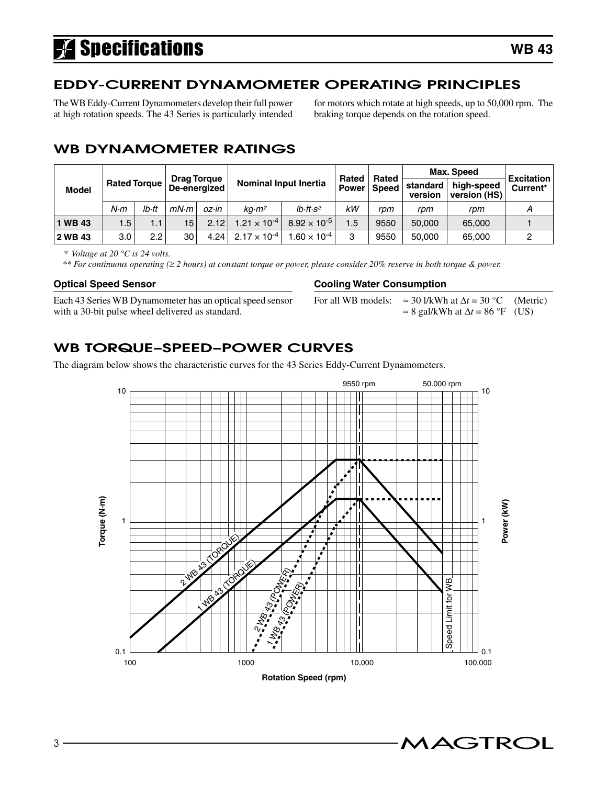# **Specifications**

## Eddy-current dynamometer OPERATING PRINCIPLES

The WB Eddy-Current Dynamometers develop their full power at high rotation speeds. The 43 Series is particularly intended for motors which rotate at high speeds, up to 50,000 rpm. The braking torque depends on the rotation speed.

## WB dynamometer ratings

|             | <b>Drag Torque</b>  |       |                 |       |                                |                              | Rated        | Rated        | Max. Speed          | <b>Excitation</b>          |          |
|-------------|---------------------|-------|-----------------|-------|--------------------------------|------------------------------|--------------|--------------|---------------------|----------------------------|----------|
| Model       | <b>Rated Torque</b> |       | De-energized    |       |                                | <b>Nominal Input Inertia</b> | <b>Power</b> | <b>Speed</b> | standard<br>version | high-speed<br>version (HS) | Current* |
|             | N·m                 | lb•ft | mN·m            | oz•in | ka·m <sup>2</sup>              | $Ib \cdot ft \cdot s^2$      | kW           | rpm          | rpm                 | rpm                        |          |
| <b>WB43</b> | 1.5                 | 1.11  | 15 <sup>1</sup> | 2.12  | 1.21 $\times$ 10 <sup>-4</sup> | $8.92 \times 10^{-5}$        | 1.5          | 9550         | 50,000              | 65,000                     |          |
| 2 WB 43     | 3.0                 | 2.2   | 30              | 4.24  | $2.17 \times 10^{-4}$          | $.60 \times 10^{-4}$         | 3            | 9550         | 50,000              | 65,000                     |          |

*\* Voltage at 20 °C is 24 volts.*

 *\*\* For continuous operating (*≥ *2 hours) at constant torque or power, please consider 20% reserve in both torque & power.*

### **Optical Speed Sensor**

Each 43 Series WB Dynamometer has an optical speed sensor with a 30-bit pulse wheel delivered as standard.

### **Cooling Water Consumption**

For all WB models:  $\approx 30$  l/kWh at  $\Delta t = 30$  °C (Metric)  $\approx$  8 gal/kWh at  $\Delta t$  = 86 °F (US)

## WB torque–speed–power curves

The diagram below shows the characteristic curves for the 43 Series Eddy-Current Dynamometers.

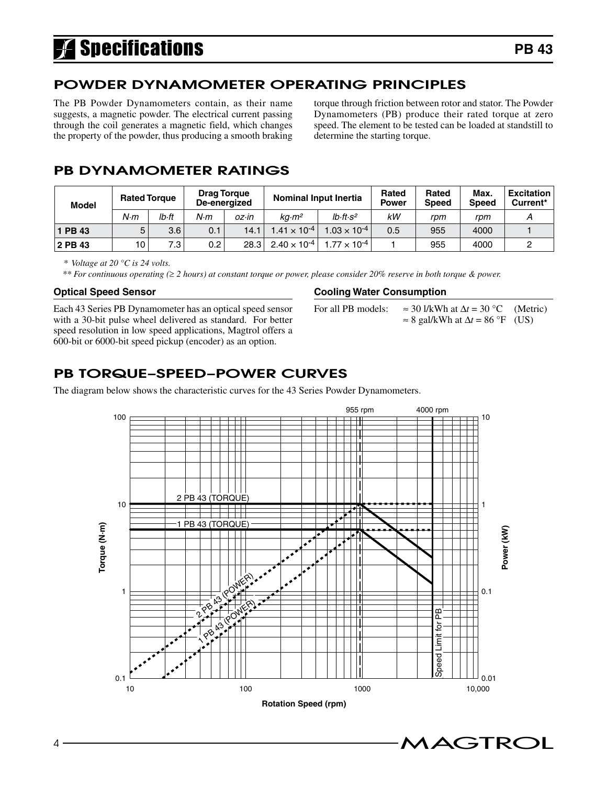# **A** Specifications

## Powder dynamometer OPERATING PRINCIPLES

The PB Powder Dynamometers contain, as their name suggests, a magnetic powder. The electrical current passing through the coil generates a magnetic field, which changes the property of the powder, thus producing a smooth braking

torque through friction between rotor and stator. The Powder Dynamometers (PB) produce their rated torque at zero speed. The element to be tested can be loaded at standstill to determine the starting torque.

## PB dynamometer ratings

| <b>Model</b> | <b>Rated Torque</b> |                  |                  | <b>Drag Torque</b><br>De-energized | <b>Nominal Input Inertia</b> |                         | Rated<br><b>Power</b> | Rated<br><b>Speed</b> | Max.<br><b>Speed</b> | <b>Excitation</b><br>Current* |
|--------------|---------------------|------------------|------------------|------------------------------------|------------------------------|-------------------------|-----------------------|-----------------------|----------------------|-------------------------------|
|              | N·m                 | lb·ft            | N·m              | $OZ \cdot in$                      | kq·m <sup>2</sup>            | $Ib \cdot ft \cdot s^2$ | kW                    | rpm                   | rpm                  |                               |
| <b>PB 43</b> | 5                   | 3.6              | 0.1              | 14.1                               | $1.41 \times 10^{-4}$        | $1.03\times10^{-4}$     | 0.5                   | 955                   | 4000                 |                               |
| 2 PB 43      | 10                  | 7.3 <sub>1</sub> | 0.2 <sub>0</sub> | 28.3                               | $2.40 \times 10^{-4}$        | $1.77 \times 10^{-4}$   |                       | 955                   | 4000                 |                               |

*\* Voltage at 20 °C is 24 volts.*

 *\*\* For continuous operating (*≥ *2 hours) at constant torque or power, please consider 20% reserve in both torque & power.*

#### **Optical Speed Sensor**

Each 43 Series PB Dynamometer has an optical speed sensor with a 30-bit pulse wheel delivered as standard. For better speed resolution in low speed applications, Magtrol offers a 600-bit or 6000-bit speed pickup (encoder) as an option.

#### **Cooling Water Consumption**

For all PB models:  $\approx 30$  l/kWh at  $\Delta t = 30$  °C (Metric)  $\approx$  8 gal/kWh at  $\Delta t$  = 86 °F (US)

## PB torque–speed–power curves

The diagram below shows the characteristic curves for the 43 Series Powder Dynamometers.

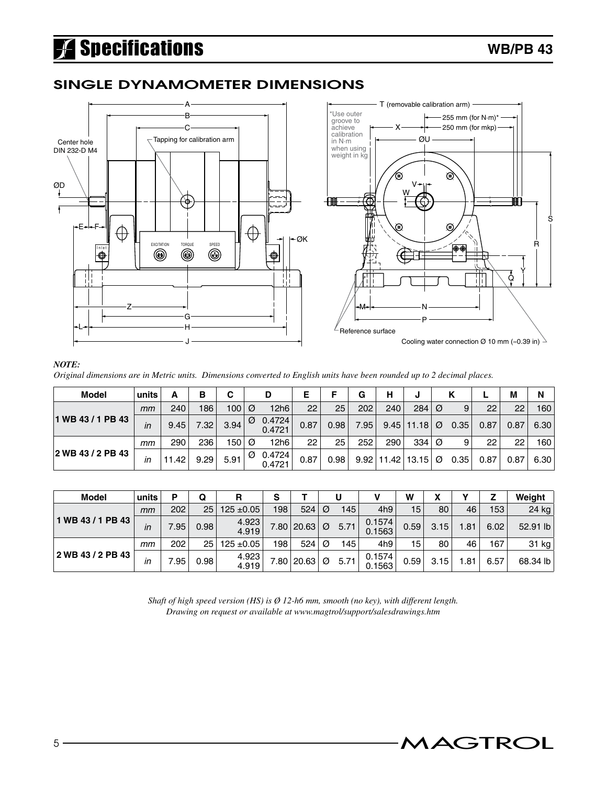# Specifications

### Single Dynamometer Dimensions



#### *NOTE:*

*Original dimensions are in Metric units. Dimensions converted to English units have been rounded up to 2 decimal places.*

| <b>Model</b>      | units | А     | в                 | C        |   | D                | Е    |      | G    | н                      | J              |   | κ    |      | M    | N    |
|-------------------|-------|-------|-------------------|----------|---|------------------|------|------|------|------------------------|----------------|---|------|------|------|------|
|                   | mm    | 240   | 186               | 100      | Ø | 12h6             | 22   | 25   | 202  | 240                    | 284            | Ø | 9    | 22   | 22   | 160  |
| 1 WB 43 / 1 PB 43 | in    | 9.45  | 7.32 <sub>1</sub> | 3.94     | Ø | 0.4724<br>0.4721 | 0.87 | 0.98 | 7.95 |                        | $9.45$   11.18 | Ø | 0.35 | 0.87 | 0.87 | 6.30 |
|                   | mm    | 290   | 236               | $150 $ Ø |   | 12h6             | 22   | 25   | 252  | 290                    | $334$ $\circ$  |   | 9    | 22   | 22   | 160  |
| 2 WB 43 / 2 PB 43 | in    | 11.42 | 9.29              | 5.91     | Ø | 0.4724<br>0.4721 | 0.87 | 0.98 |      | $9.92$   11.42   13.15 |                | Ø | 0.35 | 0.87 | 0.87 | 6.30 |

| <b>Model</b>      | units | P    | Q               | R              | s   |                    |   |                   |                  | w               | х    |      |      | Weight   |
|-------------------|-------|------|-----------------|----------------|-----|--------------------|---|-------------------|------------------|-----------------|------|------|------|----------|
|                   | mт    | 202  | 25 <sub>1</sub> | $125 \pm 0.05$ | 198 | 524                | Ø | 145               | 4h9              | 15 <sup>1</sup> | 80   | 46   | 153  | 24 kg    |
| 1 WB 43 / 1 PB 43 | in    | 7.95 | 0.98            | 4.923<br>4.919 |     | 7.80 $ 20.63 $ Ø   |   | 5.71              | 0.1574<br>0.1563 | 0.59            | 3.15 | 1.81 | 6.02 | 52.91 lb |
|                   | mт    | 202  | 25              | $125 \pm 0.05$ | 198 | 524                | Ø | 145               | 4h9              | 15              | 80   | 46   | 167  | 31 $kg$  |
| 2 WB 43 / 2 PB 43 | in    | .95  | 0.98            | 4.923<br>4.919 |     | $7.80   20.63  $ Ø |   | 5.71 <sub>1</sub> | 0.1574<br>0.1563 | 0.59            | 3.15 | l.81 | 6.57 | 68.34 lb |

*Shaft of high speed version (HS) is Ø 12-h6 mm, smooth (no key), with different length. Drawing on request or available at www.magtrol/support/salesdrawings.htm*

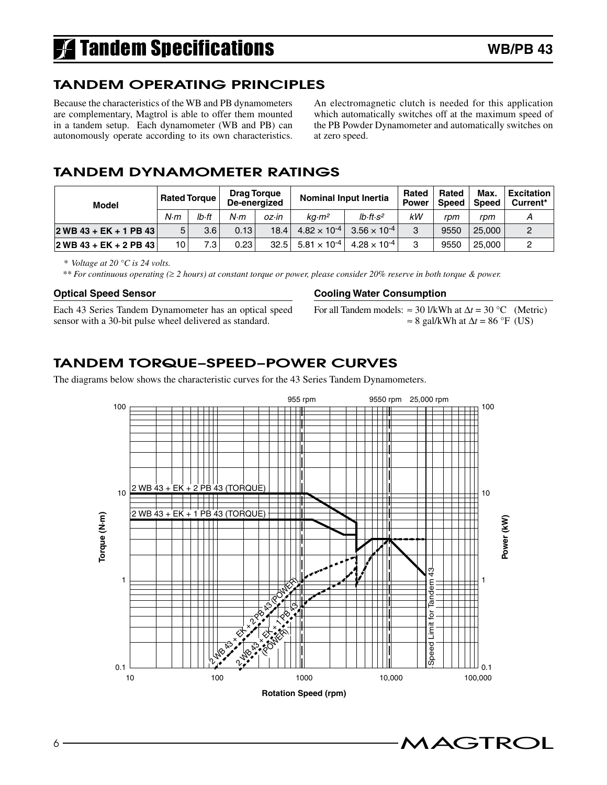# **Tandem Specifications**

### Tandem OPERATING PRINCIPLES

Because the characteristics of the WB and PB dynamometers are complementary, Magtrol is able to offer them mounted in a tandem setup. Each dynamometer (WB and PB) can autonomously operate according to its own characteristics.

An electromagnetic clutch is needed for this application which automatically switches off at the maximum speed of the PB Powder Dynamometer and automatically switches on at zero speed.

### tandem dynamometer ratings

| Model                     | <b>Rated Torque</b> |       | <b>Drag Torque</b><br>De-energized |       | <b>Nominal Input Inertia</b> |                         | Rated<br><b>Power</b> | Rated<br><b>Speed</b> | Max.<br><b>Speed</b> | <b>Excitation</b><br>Current* |
|---------------------------|---------------------|-------|------------------------------------|-------|------------------------------|-------------------------|-----------------------|-----------------------|----------------------|-------------------------------|
|                           | N·m                 | lb•ft | N·m                                | oz∙in | ka·m <sup>2</sup>            | $Ib \cdot ft \cdot s^2$ | kW                    | rpm                   | rpm                  |                               |
| $ 2$ WB 43 + EK + 1 PB 43 | 5.                  | 3.6   | 0.13                               | 18.4  | $4.82 \times 10^{-4}$        | $3.56 \times 10^{-4}$   | 3                     | 9550                  | 25,000               |                               |
| $ 2$ WB 43 + EK + 2 PB 43 | 10                  | 7.3   | 0.23                               | 32.5  | $5.81 \times 10^{-4}$        | $4.28 \times 10^{-4}$   | O                     | 9550                  | 25,000               |                               |

*\* Voltage at 20 °C is 24 volts.*

 *\*\* For continuous operating (*≥ *2 hours) at constant torque or power, please consider 20% reserve in both torque & power.*

#### **Optical Speed Sensor**

Each 43 Series Tandem Dynamometer has an optical speed sensor with a 30-bit pulse wheel delivered as standard.

#### **Cooling Water Consumption**

For all Tandem models:  $\approx 30$  l/kWh at  $\Delta t = 30$  °C (Metric)  $\approx$  8 gal/kWh at  $\Delta t$  = 86 °F (US)

## TANDEM torque–Speed–Power Curves

The diagrams below shows the characteristic curves for the 43 Series Tandem Dynamometers.

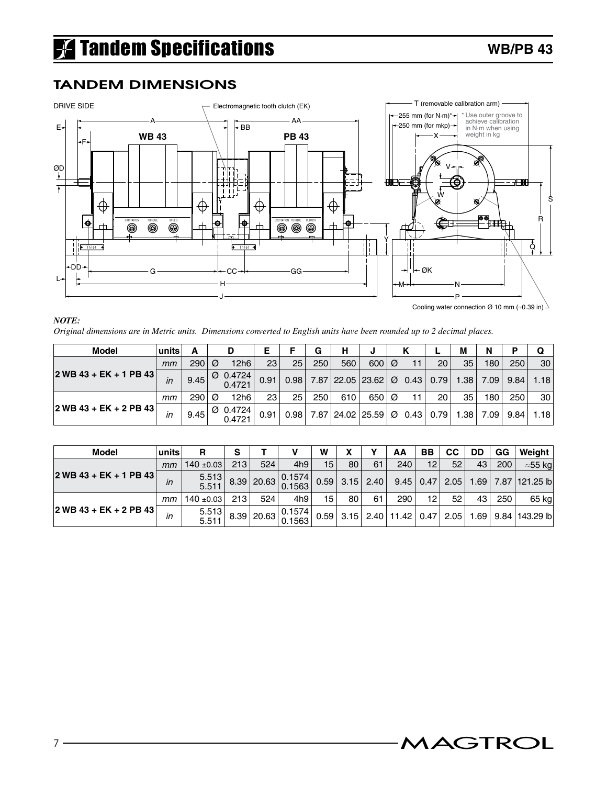### TANDEM Dimensions



*NOTE:*

*Original dimensions are in Metric units. Dimensions converted to English units have been rounded up to 2 decimal places.*

| Model                                                | units |       |   |                                | Е    |      | G   | н                                            |                  |    |    | М    | N    | D    | Q    |
|------------------------------------------------------|-------|-------|---|--------------------------------|------|------|-----|----------------------------------------------|------------------|----|----|------|------|------|------|
|                                                      | mт    | 290   | Ø | 12h6                           | 23   | 25   | 250 | 560                                          | 600 <sub>0</sub> | 11 | 20 | 35   | 180  | 250  | 30   |
| $ 2$ WB 43 + EK + 1 PB 43                            | in    | 9.45  |   | $\varnothing$ 0.4724<br>0.4721 | 0.91 | 0.98 |     | $7.87$  22.05 23.62  $\varnothing$ 0.43 0.79 |                  |    |    | 1.38 | 7.09 | 9.84 | 1.18 |
|                                                      | mт    | 290   | Ø | 12h6                           | 23   | 25   | 250 | 610                                          | 650 <sub>0</sub> | 11 | 20 | 35   | 180  | 250  | 30   |
| $ 2 \text{ WB } 43 + \text{EK } + 2 \text{ PB } 43 $ | in    | 9.45. |   | $\varnothing$ 0.4724<br>0.4721 | 0.91 | 0.98 |     | $7.87$   24.02   25.59   Ø 0.43   0.79       |                  |    |    | 1.38 | 7.09 | 9.84 | 1.18 |

| Model                     | units | R              |     |              |                                    | W               |                  |    | AA                                  | BB | CС   | DD   | GG  | Weight                |
|---------------------------|-------|----------------|-----|--------------|------------------------------------|-----------------|------------------|----|-------------------------------------|----|------|------|-----|-----------------------|
|                           | mm    | $140 \pm 0.03$ | 213 | 524          | 4h9                                | 15 <sub>1</sub> | 80               | 61 | 240                                 | 12 | 52   | 43   | 200 | $\approx$ 55 kg       |
| $ 2$ WB 43 + EK + 1 PB 43 | in    | 5.513<br>5.511 |     |              | 0.1574 <br>$-18.39$ 20.63 0.1563 0 |                 | $0.59$ 3.15 2.40 |    | $9.45$ 0.47                         |    | 2.05 |      |     | $1.69$ 7.87 121.25 lb |
|                           | mт    | 140 $\pm$ 0.03 | 213 | 524          | 4h9                                | 15              | 80 <sub>1</sub>  | 61 | 290                                 | 12 | 52   | 43   | 250 | 65 kg                 |
| $ 2$ WB 43 + EK + 2 PB 43 | ın    | 5.513<br>5.511 |     | 8.39   20.63 | 0.1574<br>0.1563                   |                 |                  |    | $0.59$   3.15   2.40   11.42   0.47 |    | 2.05 | 1.69 |     | $9.84$   143.29 lb    |